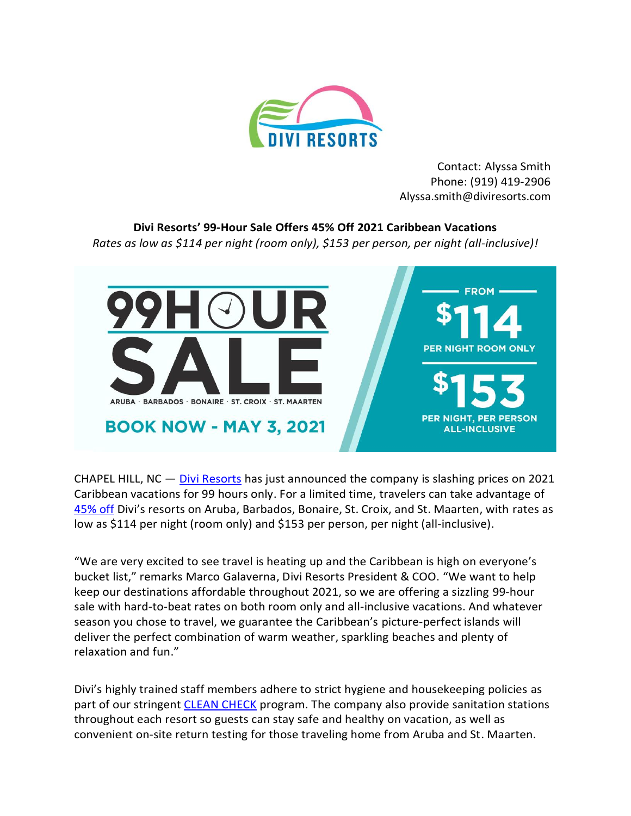

Contact: Alyssa Smith Phone: (919) 419-2906 Alyssa.smith@diviresorts.com

## **Divi Resorts' 99-Hour Sale Offers 45% Off 2021 Caribbean Vacations**

*Rates as low as \$114 per night (room only), \$153 per person, per night (all-inclusive)!*



CHAPEL HILL,  $NC - Divi$  Resorts has just announced the company is slashing prices on 2021 Caribbean vacations for 99 hours only. For a limited time, travelers can take advantage of [45% off](https://www.diviresorts.com/99-hour-sale.htm?WT.mc_id=pr_99hoursale) Divi's resorts on Aruba, Barbados, Bonaire, St. Croix, and St. Maarten, with rates as low as \$114 per night (room only) and \$153 per person, per night (all-inclusive).

"We are very excited to see travel is heating up and the Caribbean is high on everyone's bucket list," remarks Marco Galaverna, Divi Resorts President & COO. "We want to help keep our destinations affordable throughout 2021, so we are offering a sizzling 99-hour sale with hard-to-beat rates on both room only and all-inclusive vacations. And whatever season you chose to travel, we guarantee the Caribbean's picture-perfect islands will deliver the perfect combination of warm weather, sparkling beaches and plenty of relaxation and fun."

Divi's highly trained staff members adhere to strict hygiene and housekeeping policies as part of our stringent [CLEAN CHECK](https://www.diviresorts.com/clean-check.htm?WT.mc_id=pr_99hoursale) program. The company also provide sanitation stations throughout each resort so guests can stay safe and healthy on vacation, as well as convenient on-site return testing for those traveling home from Aruba and St. Maarten.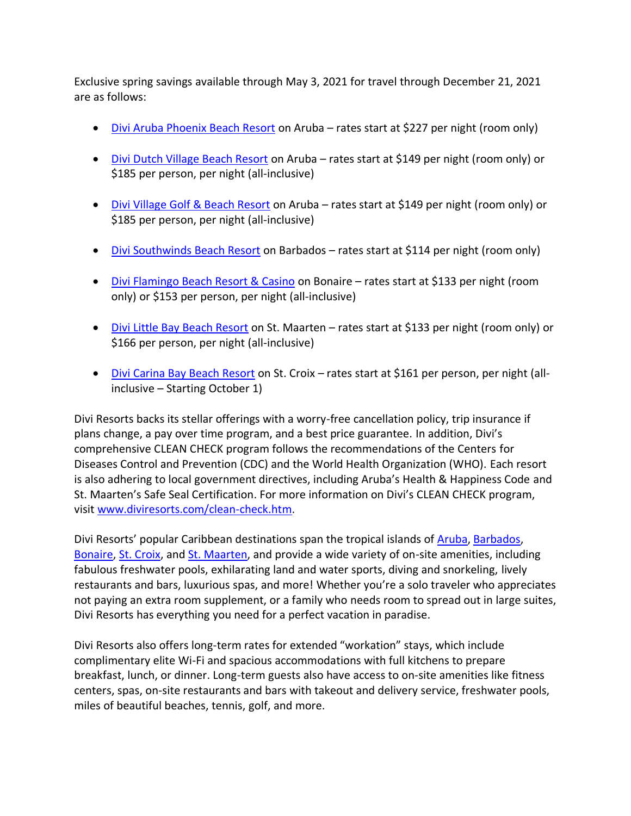Exclusive spring savings available through May 3, 2021 for travel through December 21, 2021 are as follows:

- [Divi Aruba Phoenix Beach Resort](https://www.diviresorts.com/divi-aruba-phoenix-beach-resort-aruba.htm?WT.mc_id=pr_99hoursale) on Aruba rates start at \$227 per night (room only)
- [Divi Dutch Village Beach Resort](https://www.diviresorts.com/divi-dutch-village-resort-aruba.htm?WT.mc_id=pr_99hoursale) on Aruba rates start at \$149 per night (room only) or \$185 per person, per night (all-inclusive)
- [Divi Village Golf & Beach Resort](https://www.diviresorts.com/divi-village-golf-beach-resort-aruba.htm?WT.mc_id=pr_99hoursale) on Aruba rates start at \$149 per night (room only) or \$185 per person, per night (all-inclusive)
- [Divi Southwinds Beach Resort](https://www.diviresorts.com/divi-southwinds-beach-resort-barbados.htm?WT.mc_id=pr_99hoursale) on Barbados rates start at \$114 per night (room only)
- [Divi Flamingo Beach Resort & Casino](https://www.diviresorts.com/divi-flamingo-beach-resort-bonaire.htm?WT.mc_id=pr_99hoursale) on Bonaire rates start at \$133 per night (room only) or \$153 per person, per night (all-inclusive)
- [Divi Little Bay Beach Resort](https://www.diviresorts.com/divi-little-bay-beach-resort-st-maarten.htm?WT.mc_id=pr_99hoursale) on St. Maarten rates start at \$133 per night (room only) or \$166 per person, per night (all-inclusive)
- [Divi Carina Bay Beach Resort](https://www.diviresorts.com/divi-carina-bay-beach-resort-casino-st-croix.htm?WT.mc_id=pr_99hoursale) on St. Croix rates start at \$161 per person, per night (allinclusive – Starting October 1)

Divi Resorts backs its stellar offerings with a worry-free cancellation policy, trip insurance if plans change, a pay over time program, and a best price guarantee. In addition, Divi's comprehensive CLEAN CHECK program follows the recommendations of the Centers for Diseases Control and Prevention (CDC) and the World Health Organization (WHO). Each resort is also adhering to local government directives, including Aruba's Health & Happiness Code and St. Maarten's Safe Seal Certification. For more information on Divi's CLEAN CHECK program, visit [www.diviresorts.com/clean-check.htm.](http://www.diviresorts.com/clean-check.htm?WT.mc_id=pr_99hoursale)

Divi Resorts' popular Caribbean destinations span the tropical islands of [Aruba,](https://www.diviresorts.com/aruba.htm?WT.mc_id=pr_99hoursale) [Barbados,](https://www.diviresorts.com/barbados.htm?WT.mc_id=pr_99hoursale) [Bonaire,](https://www.diviresorts.com/bonaire.htm?WT.mc_id=pr_99hoursale) [St. Croix,](https://www.diviresorts.com/st-croix.htm?WT.mc_id=pr_99hoursale) and [St. Maarten,](https://www.diviresorts.com/st-maarten.htm?WT.mc_id=pr_99hoursale) and provide a wide variety of on-site amenities, including fabulous freshwater pools, exhilarating land and water sports, diving and snorkeling, lively restaurants and bars, luxurious spas, and more! Whether you're a solo traveler who appreciates not paying an extra room supplement, or a family who needs room to spread out in large suites, Divi Resorts has everything you need for a perfect vacation in paradise.

Divi Resorts also offers long-term rates for extended "workation" stays, which include complimentary elite Wi-Fi and spacious accommodations with full kitchens to prepare breakfast, lunch, or dinner. Long-term guests also have access to on-site amenities like fitness centers, spas, on-site restaurants and bars with takeout and delivery service, freshwater pools, miles of beautiful beaches, tennis, golf, and more.